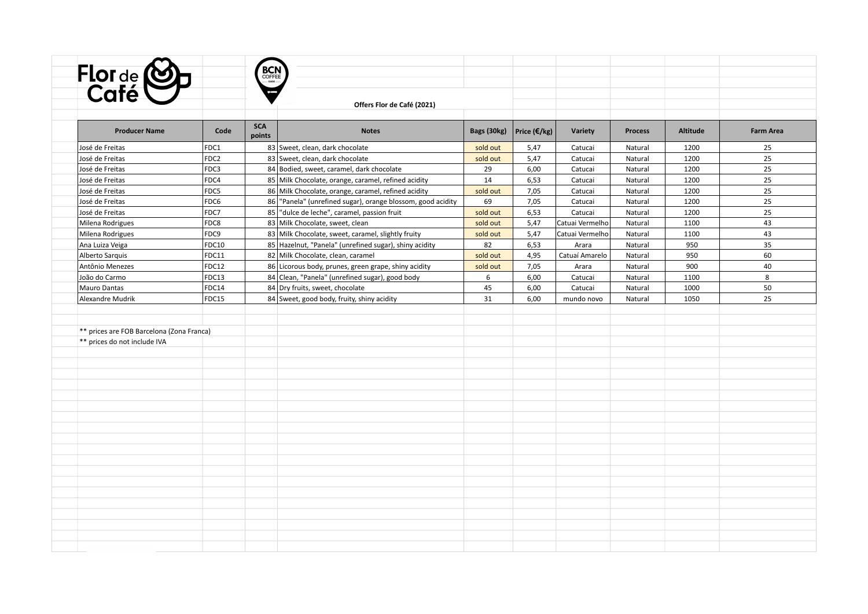| <b>BCN</b><br>Flor de <b>CO</b> p<br>Café<br>Offers Flor de Café (2021)<br><b>SCA</b><br>Code<br><b>Producer Name</b><br><b>Notes</b><br>Bags (30kg)<br>Price $(\epsilon/\epsilon)$<br>Variety<br><b>Altitude</b><br><b>Process</b><br>points<br>FDC1<br>83 Sweet, clean, dark chocolate<br>1200<br>sold out<br>5,47<br>Catucai<br>Natural<br>25<br>25<br>FDC2<br>5,47<br>1200<br>83 Sweet, clean, dark chocolate<br>sold out<br>Catucai<br>Natural<br>FDC3<br>84 Bodied, sweet, caramel, dark chocolate<br>6,00<br>25<br>29<br>1200<br>Catucai<br>Natural<br>FDC4<br>85 Milk Chocolate, orange, caramel, refined acidity<br>6,53<br>25<br>14<br>1200<br>Catucai<br>Natural<br>25<br>FDC5<br>86 Milk Chocolate, orange, caramel, refined acidity<br>7,05<br>1200<br>sold out<br>Catucai<br>Natural<br>86   "Panela" (unrefined sugar), orange blossom, good acidity<br>25<br>FDC6<br>69<br>7,05<br>Catucai<br>1200<br>Natural<br>25<br>FDC7<br>85 dulce de leche", caramel, passion fruit<br>6,53<br>sold out<br>Catucai<br>Natural<br>1200<br>FDC8<br>83 Milk Chocolate, sweet, clean<br>43<br>sold out<br>5,47<br>Catuai Vermelho<br>1100<br>Natural<br>43<br>FDC9<br>83 Milk Chocolate, sweet, caramel, slightly fruity<br>5,47<br>sold out<br>Catuai Vermelho<br>Natural<br>1100<br>35<br><b>FDC10</b><br>85 Hazelnut, "Panela" (unrefined sugar), shiny acidity<br>82<br>950<br>6,53<br>Natural<br>Arara<br>FDC11<br>82 Milk Chocolate, clean, caramel<br>4,95<br>Catuaí Amarelo<br>60<br>sold out<br>Natural<br>950<br><b>FDC12</b><br>900<br>40<br>86 Licorous body, prunes, green grape, shiny acidity<br>sold out<br>7,05<br>Arara<br>Natural<br>8<br>FDC13<br>84 Clean, "Panela" (unrefined sugar), good body<br>6<br>6,00<br>1100<br>Catucai<br>Natural<br>FDC14<br>84 Dry fruits, sweet, chocolate<br>45<br>6,00<br>1000<br>50<br>Catucai<br>Natural<br>25<br>FDC15<br>84 Sweet, good body, fruity, shiny acidity<br>31<br>6,00<br>1050<br>mundo novo<br>Natural<br>** prices are FOB Barcelona (Zona Franca) |                              |  |  |  |  |                  |
|---------------------------------------------------------------------------------------------------------------------------------------------------------------------------------------------------------------------------------------------------------------------------------------------------------------------------------------------------------------------------------------------------------------------------------------------------------------------------------------------------------------------------------------------------------------------------------------------------------------------------------------------------------------------------------------------------------------------------------------------------------------------------------------------------------------------------------------------------------------------------------------------------------------------------------------------------------------------------------------------------------------------------------------------------------------------------------------------------------------------------------------------------------------------------------------------------------------------------------------------------------------------------------------------------------------------------------------------------------------------------------------------------------------------------------------------------------------------------------------------------------------------------------------------------------------------------------------------------------------------------------------------------------------------------------------------------------------------------------------------------------------------------------------------------------------------------------------------------------------------------------------------------------------------------------------------------------------------------------------------------------------------------|------------------------------|--|--|--|--|------------------|
|                                                                                                                                                                                                                                                                                                                                                                                                                                                                                                                                                                                                                                                                                                                                                                                                                                                                                                                                                                                                                                                                                                                                                                                                                                                                                                                                                                                                                                                                                                                                                                                                                                                                                                                                                                                                                                                                                                                                                                                                                           |                              |  |  |  |  |                  |
|                                                                                                                                                                                                                                                                                                                                                                                                                                                                                                                                                                                                                                                                                                                                                                                                                                                                                                                                                                                                                                                                                                                                                                                                                                                                                                                                                                                                                                                                                                                                                                                                                                                                                                                                                                                                                                                                                                                                                                                                                           |                              |  |  |  |  |                  |
|                                                                                                                                                                                                                                                                                                                                                                                                                                                                                                                                                                                                                                                                                                                                                                                                                                                                                                                                                                                                                                                                                                                                                                                                                                                                                                                                                                                                                                                                                                                                                                                                                                                                                                                                                                                                                                                                                                                                                                                                                           |                              |  |  |  |  |                  |
|                                                                                                                                                                                                                                                                                                                                                                                                                                                                                                                                                                                                                                                                                                                                                                                                                                                                                                                                                                                                                                                                                                                                                                                                                                                                                                                                                                                                                                                                                                                                                                                                                                                                                                                                                                                                                                                                                                                                                                                                                           |                              |  |  |  |  |                  |
|                                                                                                                                                                                                                                                                                                                                                                                                                                                                                                                                                                                                                                                                                                                                                                                                                                                                                                                                                                                                                                                                                                                                                                                                                                                                                                                                                                                                                                                                                                                                                                                                                                                                                                                                                                                                                                                                                                                                                                                                                           |                              |  |  |  |  |                  |
|                                                                                                                                                                                                                                                                                                                                                                                                                                                                                                                                                                                                                                                                                                                                                                                                                                                                                                                                                                                                                                                                                                                                                                                                                                                                                                                                                                                                                                                                                                                                                                                                                                                                                                                                                                                                                                                                                                                                                                                                                           |                              |  |  |  |  | <b>Farm Area</b> |
|                                                                                                                                                                                                                                                                                                                                                                                                                                                                                                                                                                                                                                                                                                                                                                                                                                                                                                                                                                                                                                                                                                                                                                                                                                                                                                                                                                                                                                                                                                                                                                                                                                                                                                                                                                                                                                                                                                                                                                                                                           | José de Freitas              |  |  |  |  |                  |
|                                                                                                                                                                                                                                                                                                                                                                                                                                                                                                                                                                                                                                                                                                                                                                                                                                                                                                                                                                                                                                                                                                                                                                                                                                                                                                                                                                                                                                                                                                                                                                                                                                                                                                                                                                                                                                                                                                                                                                                                                           | José de Freitas              |  |  |  |  |                  |
|                                                                                                                                                                                                                                                                                                                                                                                                                                                                                                                                                                                                                                                                                                                                                                                                                                                                                                                                                                                                                                                                                                                                                                                                                                                                                                                                                                                                                                                                                                                                                                                                                                                                                                                                                                                                                                                                                                                                                                                                                           | José de Freitas              |  |  |  |  |                  |
|                                                                                                                                                                                                                                                                                                                                                                                                                                                                                                                                                                                                                                                                                                                                                                                                                                                                                                                                                                                                                                                                                                                                                                                                                                                                                                                                                                                                                                                                                                                                                                                                                                                                                                                                                                                                                                                                                                                                                                                                                           | José de Freitas              |  |  |  |  |                  |
|                                                                                                                                                                                                                                                                                                                                                                                                                                                                                                                                                                                                                                                                                                                                                                                                                                                                                                                                                                                                                                                                                                                                                                                                                                                                                                                                                                                                                                                                                                                                                                                                                                                                                                                                                                                                                                                                                                                                                                                                                           | José de Freitas              |  |  |  |  |                  |
|                                                                                                                                                                                                                                                                                                                                                                                                                                                                                                                                                                                                                                                                                                                                                                                                                                                                                                                                                                                                                                                                                                                                                                                                                                                                                                                                                                                                                                                                                                                                                                                                                                                                                                                                                                                                                                                                                                                                                                                                                           | José de Freitas              |  |  |  |  |                  |
|                                                                                                                                                                                                                                                                                                                                                                                                                                                                                                                                                                                                                                                                                                                                                                                                                                                                                                                                                                                                                                                                                                                                                                                                                                                                                                                                                                                                                                                                                                                                                                                                                                                                                                                                                                                                                                                                                                                                                                                                                           | José de Freitas              |  |  |  |  |                  |
|                                                                                                                                                                                                                                                                                                                                                                                                                                                                                                                                                                                                                                                                                                                                                                                                                                                                                                                                                                                                                                                                                                                                                                                                                                                                                                                                                                                                                                                                                                                                                                                                                                                                                                                                                                                                                                                                                                                                                                                                                           | Milena Rodrigues             |  |  |  |  |                  |
|                                                                                                                                                                                                                                                                                                                                                                                                                                                                                                                                                                                                                                                                                                                                                                                                                                                                                                                                                                                                                                                                                                                                                                                                                                                                                                                                                                                                                                                                                                                                                                                                                                                                                                                                                                                                                                                                                                                                                                                                                           | Milena Rodrigues             |  |  |  |  |                  |
|                                                                                                                                                                                                                                                                                                                                                                                                                                                                                                                                                                                                                                                                                                                                                                                                                                                                                                                                                                                                                                                                                                                                                                                                                                                                                                                                                                                                                                                                                                                                                                                                                                                                                                                                                                                                                                                                                                                                                                                                                           | Ana Luiza Veiga              |  |  |  |  |                  |
|                                                                                                                                                                                                                                                                                                                                                                                                                                                                                                                                                                                                                                                                                                                                                                                                                                                                                                                                                                                                                                                                                                                                                                                                                                                                                                                                                                                                                                                                                                                                                                                                                                                                                                                                                                                                                                                                                                                                                                                                                           | Alberto Sarquis              |  |  |  |  |                  |
|                                                                                                                                                                                                                                                                                                                                                                                                                                                                                                                                                                                                                                                                                                                                                                                                                                                                                                                                                                                                                                                                                                                                                                                                                                                                                                                                                                                                                                                                                                                                                                                                                                                                                                                                                                                                                                                                                                                                                                                                                           | Antônio Menezes              |  |  |  |  |                  |
|                                                                                                                                                                                                                                                                                                                                                                                                                                                                                                                                                                                                                                                                                                                                                                                                                                                                                                                                                                                                                                                                                                                                                                                                                                                                                                                                                                                                                                                                                                                                                                                                                                                                                                                                                                                                                                                                                                                                                                                                                           | João do Carmo                |  |  |  |  |                  |
|                                                                                                                                                                                                                                                                                                                                                                                                                                                                                                                                                                                                                                                                                                                                                                                                                                                                                                                                                                                                                                                                                                                                                                                                                                                                                                                                                                                                                                                                                                                                                                                                                                                                                                                                                                                                                                                                                                                                                                                                                           | Mauro Dantas                 |  |  |  |  |                  |
|                                                                                                                                                                                                                                                                                                                                                                                                                                                                                                                                                                                                                                                                                                                                                                                                                                                                                                                                                                                                                                                                                                                                                                                                                                                                                                                                                                                                                                                                                                                                                                                                                                                                                                                                                                                                                                                                                                                                                                                                                           | Alexandre Mudrik             |  |  |  |  |                  |
|                                                                                                                                                                                                                                                                                                                                                                                                                                                                                                                                                                                                                                                                                                                                                                                                                                                                                                                                                                                                                                                                                                                                                                                                                                                                                                                                                                                                                                                                                                                                                                                                                                                                                                                                                                                                                                                                                                                                                                                                                           |                              |  |  |  |  |                  |
|                                                                                                                                                                                                                                                                                                                                                                                                                                                                                                                                                                                                                                                                                                                                                                                                                                                                                                                                                                                                                                                                                                                                                                                                                                                                                                                                                                                                                                                                                                                                                                                                                                                                                                                                                                                                                                                                                                                                                                                                                           |                              |  |  |  |  |                  |
|                                                                                                                                                                                                                                                                                                                                                                                                                                                                                                                                                                                                                                                                                                                                                                                                                                                                                                                                                                                                                                                                                                                                                                                                                                                                                                                                                                                                                                                                                                                                                                                                                                                                                                                                                                                                                                                                                                                                                                                                                           | ** prices do not include IVA |  |  |  |  |                  |
|                                                                                                                                                                                                                                                                                                                                                                                                                                                                                                                                                                                                                                                                                                                                                                                                                                                                                                                                                                                                                                                                                                                                                                                                                                                                                                                                                                                                                                                                                                                                                                                                                                                                                                                                                                                                                                                                                                                                                                                                                           |                              |  |  |  |  |                  |
|                                                                                                                                                                                                                                                                                                                                                                                                                                                                                                                                                                                                                                                                                                                                                                                                                                                                                                                                                                                                                                                                                                                                                                                                                                                                                                                                                                                                                                                                                                                                                                                                                                                                                                                                                                                                                                                                                                                                                                                                                           |                              |  |  |  |  |                  |
|                                                                                                                                                                                                                                                                                                                                                                                                                                                                                                                                                                                                                                                                                                                                                                                                                                                                                                                                                                                                                                                                                                                                                                                                                                                                                                                                                                                                                                                                                                                                                                                                                                                                                                                                                                                                                                                                                                                                                                                                                           |                              |  |  |  |  |                  |
|                                                                                                                                                                                                                                                                                                                                                                                                                                                                                                                                                                                                                                                                                                                                                                                                                                                                                                                                                                                                                                                                                                                                                                                                                                                                                                                                                                                                                                                                                                                                                                                                                                                                                                                                                                                                                                                                                                                                                                                                                           |                              |  |  |  |  |                  |
|                                                                                                                                                                                                                                                                                                                                                                                                                                                                                                                                                                                                                                                                                                                                                                                                                                                                                                                                                                                                                                                                                                                                                                                                                                                                                                                                                                                                                                                                                                                                                                                                                                                                                                                                                                                                                                                                                                                                                                                                                           |                              |  |  |  |  |                  |
|                                                                                                                                                                                                                                                                                                                                                                                                                                                                                                                                                                                                                                                                                                                                                                                                                                                                                                                                                                                                                                                                                                                                                                                                                                                                                                                                                                                                                                                                                                                                                                                                                                                                                                                                                                                                                                                                                                                                                                                                                           |                              |  |  |  |  |                  |
|                                                                                                                                                                                                                                                                                                                                                                                                                                                                                                                                                                                                                                                                                                                                                                                                                                                                                                                                                                                                                                                                                                                                                                                                                                                                                                                                                                                                                                                                                                                                                                                                                                                                                                                                                                                                                                                                                                                                                                                                                           |                              |  |  |  |  |                  |
|                                                                                                                                                                                                                                                                                                                                                                                                                                                                                                                                                                                                                                                                                                                                                                                                                                                                                                                                                                                                                                                                                                                                                                                                                                                                                                                                                                                                                                                                                                                                                                                                                                                                                                                                                                                                                                                                                                                                                                                                                           |                              |  |  |  |  |                  |
|                                                                                                                                                                                                                                                                                                                                                                                                                                                                                                                                                                                                                                                                                                                                                                                                                                                                                                                                                                                                                                                                                                                                                                                                                                                                                                                                                                                                                                                                                                                                                                                                                                                                                                                                                                                                                                                                                                                                                                                                                           |                              |  |  |  |  |                  |
|                                                                                                                                                                                                                                                                                                                                                                                                                                                                                                                                                                                                                                                                                                                                                                                                                                                                                                                                                                                                                                                                                                                                                                                                                                                                                                                                                                                                                                                                                                                                                                                                                                                                                                                                                                                                                                                                                                                                                                                                                           |                              |  |  |  |  |                  |
|                                                                                                                                                                                                                                                                                                                                                                                                                                                                                                                                                                                                                                                                                                                                                                                                                                                                                                                                                                                                                                                                                                                                                                                                                                                                                                                                                                                                                                                                                                                                                                                                                                                                                                                                                                                                                                                                                                                                                                                                                           |                              |  |  |  |  |                  |
|                                                                                                                                                                                                                                                                                                                                                                                                                                                                                                                                                                                                                                                                                                                                                                                                                                                                                                                                                                                                                                                                                                                                                                                                                                                                                                                                                                                                                                                                                                                                                                                                                                                                                                                                                                                                                                                                                                                                                                                                                           |                              |  |  |  |  |                  |
|                                                                                                                                                                                                                                                                                                                                                                                                                                                                                                                                                                                                                                                                                                                                                                                                                                                                                                                                                                                                                                                                                                                                                                                                                                                                                                                                                                                                                                                                                                                                                                                                                                                                                                                                                                                                                                                                                                                                                                                                                           |                              |  |  |  |  |                  |
|                                                                                                                                                                                                                                                                                                                                                                                                                                                                                                                                                                                                                                                                                                                                                                                                                                                                                                                                                                                                                                                                                                                                                                                                                                                                                                                                                                                                                                                                                                                                                                                                                                                                                                                                                                                                                                                                                                                                                                                                                           |                              |  |  |  |  |                  |
|                                                                                                                                                                                                                                                                                                                                                                                                                                                                                                                                                                                                                                                                                                                                                                                                                                                                                                                                                                                                                                                                                                                                                                                                                                                                                                                                                                                                                                                                                                                                                                                                                                                                                                                                                                                                                                                                                                                                                                                                                           |                              |  |  |  |  |                  |
|                                                                                                                                                                                                                                                                                                                                                                                                                                                                                                                                                                                                                                                                                                                                                                                                                                                                                                                                                                                                                                                                                                                                                                                                                                                                                                                                                                                                                                                                                                                                                                                                                                                                                                                                                                                                                                                                                                                                                                                                                           |                              |  |  |  |  |                  |
|                                                                                                                                                                                                                                                                                                                                                                                                                                                                                                                                                                                                                                                                                                                                                                                                                                                                                                                                                                                                                                                                                                                                                                                                                                                                                                                                                                                                                                                                                                                                                                                                                                                                                                                                                                                                                                                                                                                                                                                                                           |                              |  |  |  |  |                  |
|                                                                                                                                                                                                                                                                                                                                                                                                                                                                                                                                                                                                                                                                                                                                                                                                                                                                                                                                                                                                                                                                                                                                                                                                                                                                                                                                                                                                                                                                                                                                                                                                                                                                                                                                                                                                                                                                                                                                                                                                                           |                              |  |  |  |  |                  |
|                                                                                                                                                                                                                                                                                                                                                                                                                                                                                                                                                                                                                                                                                                                                                                                                                                                                                                                                                                                                                                                                                                                                                                                                                                                                                                                                                                                                                                                                                                                                                                                                                                                                                                                                                                                                                                                                                                                                                                                                                           |                              |  |  |  |  |                  |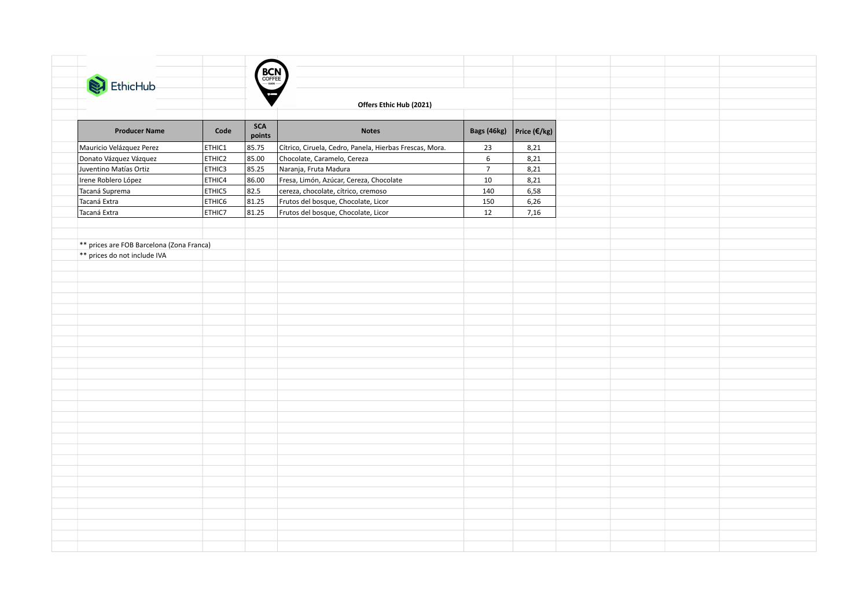|                                           |        | <b>BCN</b>    |                                                         |                 |                         |  |  |
|-------------------------------------------|--------|---------------|---------------------------------------------------------|-----------------|-------------------------|--|--|
| EthicHub                                  |        |               |                                                         |                 |                         |  |  |
|                                           |        |               |                                                         |                 |                         |  |  |
|                                           |        |               | Offers Ethic Hub (2021)                                 |                 |                         |  |  |
|                                           |        |               |                                                         |                 |                         |  |  |
| <b>Producer Name</b>                      | Code   | SCA<br>points | <b>Notes</b>                                            | Bags (46kg)     | Price ( $\epsilon$ /kg) |  |  |
| Mauricio Velázquez Perez                  | ETHIC1 | 85.75         | Cítrico, Ciruela, Cedro, Panela, Hierbas Frescas, Mora. | 23              | 8,21                    |  |  |
| Donato Vázquez Vázquez                    | ETHIC2 | 85.00         | Chocolate, Caramelo, Cereza                             | $6\overline{6}$ | 8,21                    |  |  |
| Juventino Matías Ortiz                    | ETHIC3 | 85.25         | Naranja, Fruta Madura                                   | $\overline{7}$  | 8,21                    |  |  |
| Irene Roblero López                       | ETHIC4 | 86.00         | Fresa, Limón, Azúcar, Cereza, Chocolate                 | $10\,$          | 8,21                    |  |  |
| Tacaná Suprema                            | ETHIC5 | 82.5          | cereza, chocolate, cítrico, cremoso                     | 140             | 6,58                    |  |  |
| Tacaná Extra                              | ETHIC6 | 81.25         | Frutos del bosque, Chocolate, Licor                     | 150             | 6,26                    |  |  |
| Tacaná Extra                              | ETHIC7 | 81.25         | Frutos del bosque, Chocolate, Licor                     | 12              | 7,16                    |  |  |
|                                           |        |               |                                                         |                 |                         |  |  |
|                                           |        |               |                                                         |                 |                         |  |  |
| ** prices are FOB Barcelona (Zona Franca) |        |               |                                                         |                 |                         |  |  |
| ** prices do not include IVA              |        |               |                                                         |                 |                         |  |  |
|                                           |        |               |                                                         |                 |                         |  |  |
|                                           |        |               |                                                         |                 |                         |  |  |
|                                           |        |               |                                                         |                 |                         |  |  |
|                                           |        |               |                                                         |                 |                         |  |  |
|                                           |        |               |                                                         |                 |                         |  |  |
|                                           |        |               |                                                         |                 |                         |  |  |
|                                           |        |               |                                                         |                 |                         |  |  |
|                                           |        |               |                                                         |                 |                         |  |  |
|                                           |        |               |                                                         |                 |                         |  |  |
|                                           |        |               |                                                         |                 |                         |  |  |
|                                           |        |               |                                                         |                 |                         |  |  |
|                                           |        |               |                                                         |                 |                         |  |  |
|                                           |        |               |                                                         |                 |                         |  |  |
|                                           |        |               |                                                         |                 |                         |  |  |
|                                           |        |               |                                                         |                 |                         |  |  |
|                                           |        |               |                                                         |                 |                         |  |  |
|                                           |        |               |                                                         |                 |                         |  |  |
|                                           |        |               |                                                         |                 |                         |  |  |
|                                           |        |               |                                                         |                 |                         |  |  |
|                                           |        |               |                                                         |                 |                         |  |  |
|                                           |        |               |                                                         |                 |                         |  |  |
|                                           |        |               |                                                         |                 |                         |  |  |
|                                           |        |               |                                                         |                 |                         |  |  |
|                                           |        |               |                                                         |                 |                         |  |  |
|                                           |        |               |                                                         |                 |                         |  |  |
|                                           |        |               |                                                         |                 |                         |  |  |
|                                           |        |               |                                                         |                 |                         |  |  |
|                                           |        |               |                                                         |                 |                         |  |  |